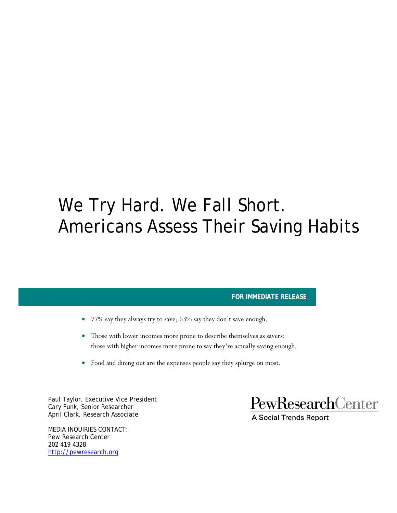# We Try Hard. We Fall Short. Americans Assess Their Saving Habits

#### **FOR IMMEDIATE RELEASE**

- 77% say they always try to save; 63% say they don't save enough.
- Those with lower incomes more prone to describe themselves as savers; those with higher incomes more prone to say they're actually saving enough.
- Food and dining out are the expenses people say they splurge on most.

Paul Taylor, Executive Vice President Cary Funk, Senior Researcher April Clark, Research Associate

MEDIA INQUIRIES CONTACT: Pew Research Center 202 419 4328 http://pewresearch.org

PewResearchCenter

**A Social Trends Report**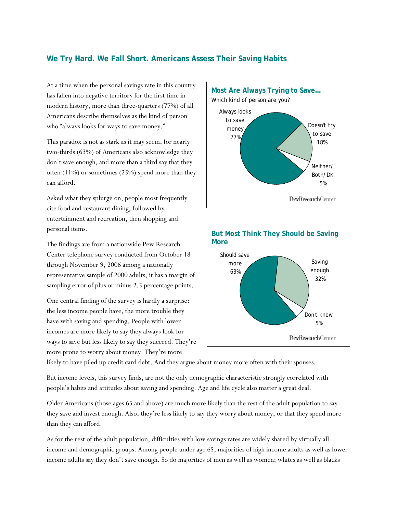## **We Try Hard. We Fall Short. Americans Assess Their Saving Habits**

At a time when the personal savings rate in this country has fallen into negative territory for the first time in modern history, more than three-quarters (77%) of all Americans describe themselves as the kind of person who "always looks for ways to save money."

This paradox is not as stark as it may seem, for nearly two-thirds (63%) of Americans also acknowledge they don't save enough, and more than a third say that they often (11%) or sometimes (25%) spend more than they can afford.

Asked what they splurge on, people most frequently cite food and restaurant dining, followed by entertainment and recreation, then shopping and personal items.

The findings are from a nationwide Pew Research Center telephone survey conducted from October 18 through November 9, 2006 among a nationally representative sample of 2000 adults; it has a margin of sampling error of plus or minus 2.5 percentage points.

One central finding of the survey is hardly a surprise: the less income people have, the more trouble they have with saving and spending. People with lower incomes are more likely to say they always look for ways to save but less likely to say they succeed. They're more prone to worry about money. They're more





likely to have piled up credit card debt. And they argue about money more often with their spouses.

But income levels, this survey finds, are not the only demographic characteristic strongly correlated with people's habits and attitudes about saving and spending. Age and life cycle also matter a great deal.

Older Americans (those ages 65 and above) are much more likely than the rest of the adult population to say they save and invest enough. Also, they're less likely to say they worry about money, or that they spend more than they can afford.

As for the rest of the adult population, difficulties with low savings rates are widely shared by virtually all income and demographic groups. Among people under age 65, majorities of high income adults as well as lower income adults say they don't save enough. So do majorities of men as well as women; whites as well as blacks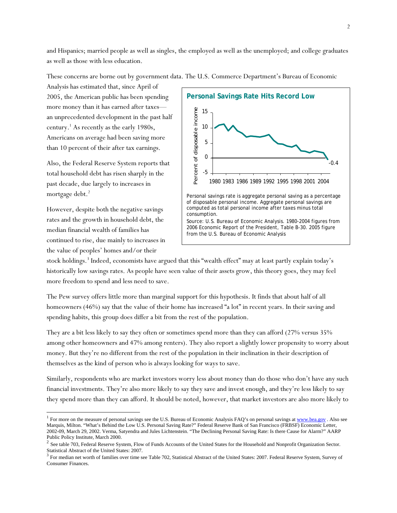and Hispanics; married people as well as singles, the employed as well as the unemployed; and college graduates as well as those with less education.

**Personal Savings Rate Hits Record Low**  2005, the American public has been spending more money than it has earned after taxes— Percent of disposable income Percent of disposable income 15 an unprecedented development in the past half 10 Americans on average had been saving more 5 than 10 percent of their after tax earnings. 0 -0.4 -5 1980 1983 1986 1989 1992 1995 1998 2001 2004 Personal savings rate is aggregate personal saving as a percentage of disposable personal income. Aggregate personal savings are computed as total personal income after taxes minus total consumption. Source: U.S. Bureau of Economic Analysis. 1980-2004 figures from 2006 Economic Report of the President, Table B-30. 2005 figure from the U.S. Bureau of Economic Analysis

These concerns are borne out by government data. The U.S. Commerce Department's Bureau of Economic

Also, the Federal Reserve System reports that total household debt has risen sharply in the past decade, due largely to increases in mortgage debt.<sup>2</sup>

Analysis has estimated that, since April of

century.<sup>1</sup> As recently as the early 1980s,

However, despite both the negative savings rates and the growth in household debt, the median financial wealth of families has continued to rise, due mainly to increases in the value of peoples' homes and/or their

l

stock holdings.<sup>3</sup> Indeed, economists have argued that this "wealth effect" may at least partly explain today's historically low savings rates. As people have seen value of their assets grow, this theory goes, they may feel more freedom to spend and less need to save.

The Pew survey offers little more than marginal support for this hypothesis. It finds that about half of all homeowners (46%) say that the value of their home has increased "a lot" in recent years. In their saving and spending habits, this group does differ a bit from the rest of the population.

They are a bit less likely to say they often or sometimes spend more than they can afford (27% versus 35% among other homeowners and 47% among renters). They also report a slightly lower propensity to worry about money. But they're no different from the rest of the population in their inclination in their description of themselves as the kind of person who is always looking for ways to save.

Similarly, respondents who are market investors worry less about money than do those who don't have any such financial investments. They're also more likely to say they save and invest enough, and they're less likely to say they spend more than they can afford. It should be noted, however, that market investors are also more likely to

<sup>&</sup>lt;sup>1</sup> For more on the measure of personal savings see the U.S. Bureau of Economic Analysis FAQ's on personal savings at  $\frac{www.bea.gov}{www.bea.gov}$ . Also see Marquis, Milton. "What's Behind the Low U.S. Personal Saving Rate?" Federal Reserve Bank of San Francisco (FRBSF) Economic Letter, 2002-09, March 29, 2002. Verma, Satyendra and Jules Lichtenstein. "The Declining Personal Saving Rate: Is there Cause for Alarm?" AARP Public Policy Institute, March 2000.

 $2$  See table 703, Federal Reserve System, Flow of Funds Accounts of the United States for the Household and Nonprofit Organization Sector.

Statistical Abstract of the United States: 2007.<br> $3$  For median net worth of families over time see Table 702, Statistical Abstract of the United States: 2007. Federal Reserve System, Survey of Consumer Finances.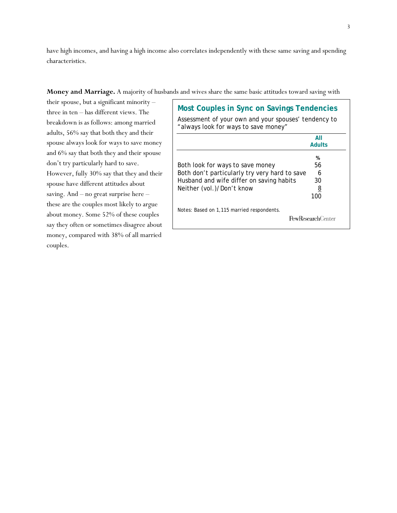have high incomes, and having a high income also correlates independently with these same saving and spending characteristics.

#### **Money and Marriage.** A majority of husbands and wives share the same basic attitudes toward saving with

their spouse, but a significant minority – three in ten – has different views. The breakdown is as follows: among married adults, 56% say that both they and their spouse always look for ways to save money and 6% say that both they and their spouse don't try particularly hard to save. However, fully 30% say that they and their spouse have different attitudes about saving. And – no great surprise here – these are the couples most likely to argue about money. Some 52% of these couples say they often or sometimes disagree about money, compared with 38% of all married couples.

| <b>Most Couples in Sync on Savings Tendencies</b><br>Assessment of your own and your spouses' tendency to<br>"always look for ways to save money" |                          |
|---------------------------------------------------------------------------------------------------------------------------------------------------|--------------------------|
|                                                                                                                                                   | AII                      |
|                                                                                                                                                   | <b>Adults</b>            |
| Both look for ways to save money                                                                                                                  | %<br>56                  |
| Both don't particularly try very hard to save                                                                                                     | 6                        |
| Husband and wife differ on saving habits                                                                                                          | 30                       |
| Neither (vol.)/Don't know                                                                                                                         | 8                        |
|                                                                                                                                                   | 100                      |
| Notes: Based on 1,115 married respondents.                                                                                                        | <b>PewResearchCenter</b> |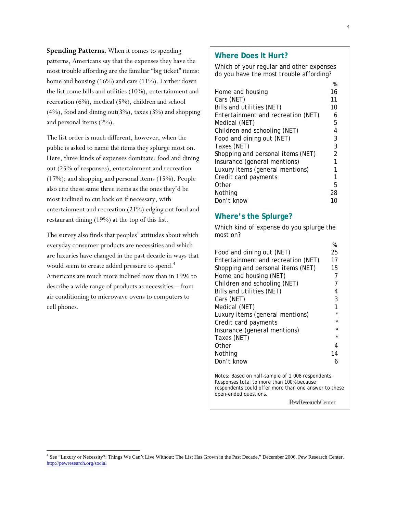**Spending Patterns.** When it comes to spending patterns, Americans say that the expenses they have the most trouble affording are the familiar "big ticket" items: home and housing (16%) and cars (11%). Farther down the list come bills and utilities (10%), entertainment and recreation (6%), medical (5%), children and school  $(4\%)$ , food and dining out $(3\%)$ , taxes  $(3\%)$  and shopping and personal items (2%).

The list order is much different, however, when the public is asked to name the items they splurge most on. Here, three kinds of expenses dominate: food and dining out (25% of responses), entertainment and recreation (17%); and shopping and personal items (15%). People also cite these same three items as the ones they'd be most inclined to cut back on if necessary, with entertainment and recreation (21%) edging out food and restaurant dining (19%) at the top of this list.

The survey also finds that peoples' attitudes about which everyday consumer products are necessities and which are luxuries have changed in the past decade in ways that would seem to create added pressure to spend.<sup>4</sup> Americans are much more inclined now than in 1996 to describe a wide range of products as necessities – from air conditioning to microwave ovens to computers to cell phones.

l

#### **Where Does It Hurt?**

Which of your regular and other expenses do you have the most trouble affording?

|                                    | %  |
|------------------------------------|----|
| Home and housing                   | 16 |
| Cars (NET)                         | 11 |
| Bills and utilities (NET)          | 10 |
| Entertainment and recreation (NET) | 6  |
| Medical (NET)                      | 5  |
| Children and schooling (NET)       | 4  |
| Food and dining out (NET)          | 3  |
| Taxes (NET)                        | 3  |
| Shopping and personal items (NET)  | 2  |
| Insurance (general mentions)       | 1  |
| Luxury items (general mentions)    |    |
| Credit card payments               | 1  |
| Other                              | 5  |
| Nothing                            | 28 |
| Don't know                         |    |

### **Where's the Splurge?**

Which kind of expense do you splurge the most on?

|                                    | 70      |
|------------------------------------|---------|
| Food and dining out (NET)          | 25      |
| Entertainment and recreation (NET) | 17      |
| Shopping and personal items (NET)  | 15      |
| Home and housing (NET)             | 7       |
| Children and schooling (NET)       |         |
| Bills and utilities (NET)          | 4       |
| Cars (NET)                         | 3       |
| Medical (NET)                      | 1       |
| Luxury items (general mentions)    | $\star$ |
| Credit card payments               | $\star$ |
| Insurance (general mentions)       | $\star$ |
| Taxes (NET)                        | $\star$ |
| Other                              |         |
| Nothing                            | 14      |
| Don't know                         |         |
|                                    |         |

Notes: Based on half-sample of 1,008 respondents. Responses total to more than 100% because respondents could offer more than one answer to these open-ended questions.

PewResearchCenter

**%** 

<sup>4</sup> See "Luxury or Necessity?: Things We Can't Live Without: The List Has Grown in the Past Decade," December 2006. Pew Research Center. http://pewresearch.org/social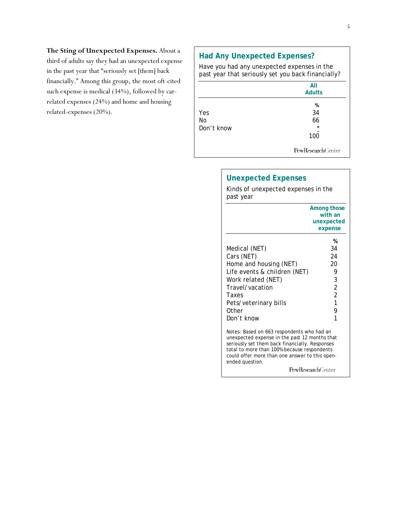### **The Sting of Unexpected Expenses.** About a

third of adults say they had an unexpected expense in the past year that "seriously set [them] back financially." Among this group, the most oft-cited such expense is medical (34%), followed by carrelated expenses (24%) and home and housing related-expenses (20%).

## **Had Any Unexpected Expenses?**

Have you had any unexpected expenses in the past year that seriously set you back financially?

|                         | All<br><b>Adults</b>            |
|-------------------------|---------------------------------|
| Yes<br>No<br>Don't know | %<br>34<br>66<br>$\star$<br>100 |
|                         | PewResearchCenter               |

|                                                                                                                                                                                                                                                                   | Among those               |
|-------------------------------------------------------------------------------------------------------------------------------------------------------------------------------------------------------------------------------------------------------------------|---------------------------|
|                                                                                                                                                                                                                                                                   | with an                   |
|                                                                                                                                                                                                                                                                   | unexpected                |
|                                                                                                                                                                                                                                                                   | expense                   |
|                                                                                                                                                                                                                                                                   | %                         |
| Medical (NET)                                                                                                                                                                                                                                                     | 34                        |
| Cars (NET)                                                                                                                                                                                                                                                        | 24                        |
| Home and housing (NET)                                                                                                                                                                                                                                            | 20                        |
| Life events & children (NET)                                                                                                                                                                                                                                      | 9                         |
| Work related (NET)                                                                                                                                                                                                                                                | 3                         |
| Travel/vacation                                                                                                                                                                                                                                                   | $\overline{2}$            |
| Taxes                                                                                                                                                                                                                                                             | $\overline{2}$            |
| Pets/veterinary bills                                                                                                                                                                                                                                             | 1                         |
| Other                                                                                                                                                                                                                                                             | 9                         |
| Don't know                                                                                                                                                                                                                                                        | 1                         |
| Notes: Based on 663 respondents who had an<br>unexpected expense in the past 12 months that<br>seriously set them back financially. Responses<br>total to more than 100% because respondents<br>could offer more than one answer to this open-<br>ended question. |                           |
|                                                                                                                                                                                                                                                                   | <b>PewResearch</b> Center |

# **Unexpected Expenses**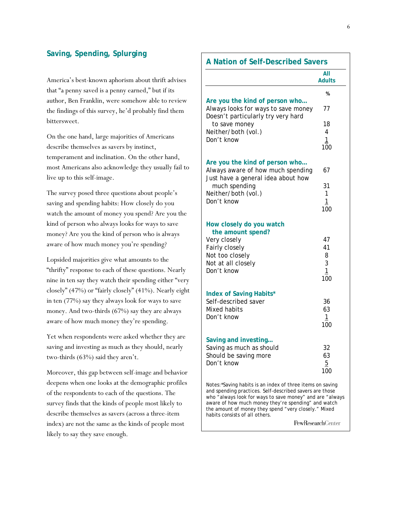### **Saving, Spending, Splurging**

America's best-known aphorism about thrift advises that "a penny saved is a penny earned," but if its author, Ben Franklin, were somehow able to review the findings of this survey, he'd probably find them bittersweet.

On the one hand, large majorities of Americans describe themselves as savers by instinct, temperament and inclination. On the other hand, most Americans also acknowledge they usually fail to live up to this self-image.

The survey posed three questions about people's saving and spending habits: How closely do you watch the amount of money you spend? Are you the kind of person who always looks for ways to save money? Are you the kind of person who is always aware of how much money you're spending?

Lopsided majorities give what amounts to the "thrifty" response to each of these questions. Nearly nine in ten say they watch their spending either "very closely" (47%) or "fairly closely" (41%). Nearly eight in ten (77%) say they always look for ways to save money. And two-thirds (67%) say they are always aware of how much money they're spending.

Yet when respondents were asked whether they are saving and investing as much as they should, nearly two-thirds (63%) said they aren't.

Moreover, this gap between self-image and behavior deepens when one looks at the demographic profiles of the respondents to each of the questions. The survey finds that the kinds of people most likely to describe themselves as savers (across a three-item index) are not the same as the kinds of people most likely to say they save enough.

### **A Nation of Self-Described Savers**

|                                                                                                             | All<br><b>Adults</b> |
|-------------------------------------------------------------------------------------------------------------|----------------------|
|                                                                                                             | %                    |
| Are you the kind of person who<br>Always looks for ways to save money<br>Doesn't particularly try very hard | 77                   |
| to save money                                                                                               | 18                   |
| Neither/both (vol.)                                                                                         | $\overline{4}$       |
| Don't know                                                                                                  | 1<br>100             |
| Are you the kind of person who<br>Always aware of how much spending<br>Just have a general idea about how   | 67                   |
| much spending                                                                                               | 31                   |
| Neither/both (vol.)                                                                                         | 1                    |
| Don't know                                                                                                  | $\mathbf{1}$<br>100  |
| How closely do you watch<br>the amount spend?                                                               |                      |
| Very closely                                                                                                | 47                   |
| Fairly closely                                                                                              | 41                   |
| Not too closely<br>Not at all closely                                                                       | 8<br>3               |
| Don't know                                                                                                  | $\mathbf{1}$         |
|                                                                                                             | 100                  |
| <b>Index of Saving Habits*</b>                                                                              |                      |
| Self-described saver<br>Mixed habits                                                                        | 36<br>63             |
| Don't know                                                                                                  | $\mathbf{1}$         |
|                                                                                                             | 100                  |
| Saving and investing                                                                                        |                      |
| Saving as much as should                                                                                    | 32                   |
| Should be saving more<br>Don't know                                                                         | 63<br>5              |
|                                                                                                             | 100                  |
| Notes: *Saving babits is an index of three items on saving                                                  |                      |

Notes:\*Saving habits is an index of three items on saving and spending practices. Self-described savers are those who "always look for ways to save money" and are "always aware of how much money they're spending" and watch the amount of money they spend "very closely." Mixed habits consists of all others.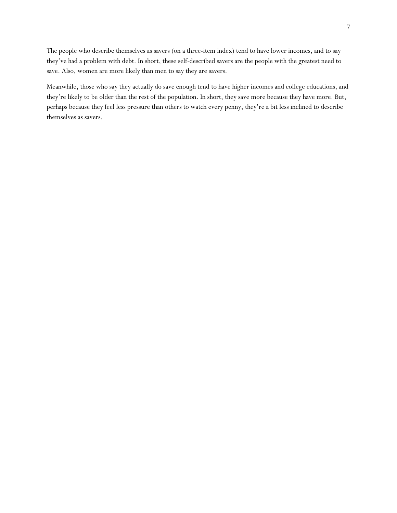The people who describe themselves as savers (on a three-item index) tend to have lower incomes, and to say they've had a problem with debt. In short, these self-described savers are the people with the greatest need to save. Also, women are more likely than men to say they are savers.

Meanwhile, those who say they actually do save enough tend to have higher incomes and college educations, and they're likely to be older than the rest of the population. In short, they save more because they have more. But, perhaps because they feel less pressure than others to watch every penny, they're a bit less inclined to describe themselves as savers.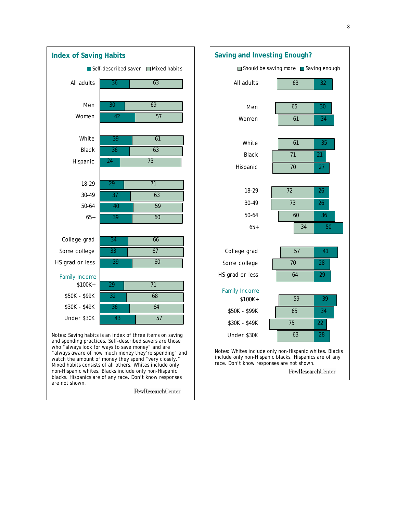



non-Hispanic whites. Blacks include only non-Hispanic blacks. Hispanics are of any race. Don't know responses are not shown.

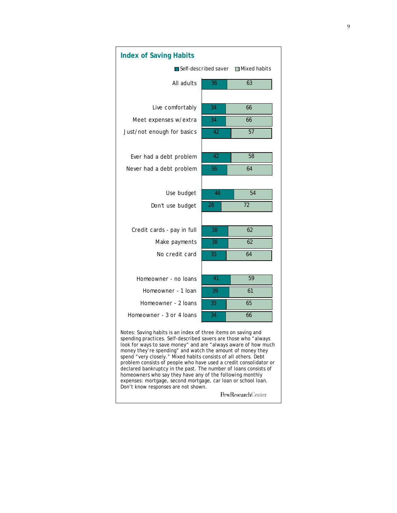

money they're spending" and watch the amount of money they spend "very closely." Mixed habits consists of all others. Debt problem consists of people who have used a credit consolidator or declared bankruptcy in the past. The number of loans consists of homeowners who say they have any of the following monthly expenses: mortgage, second mortgage, car loan or school loan. Don't know responses are not shown.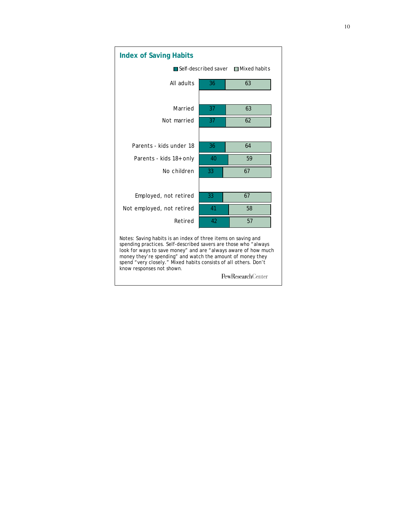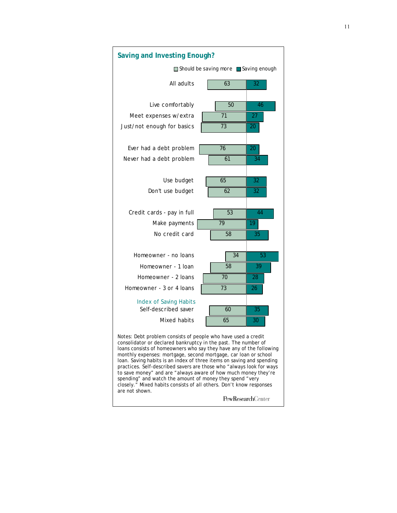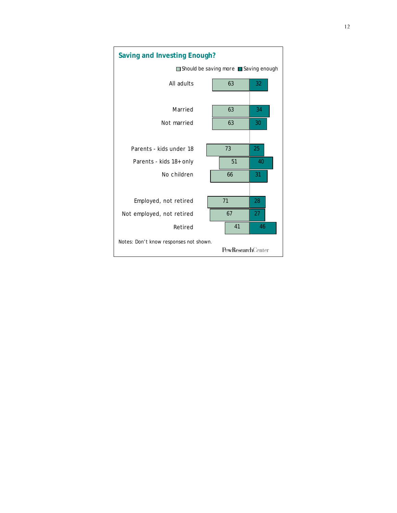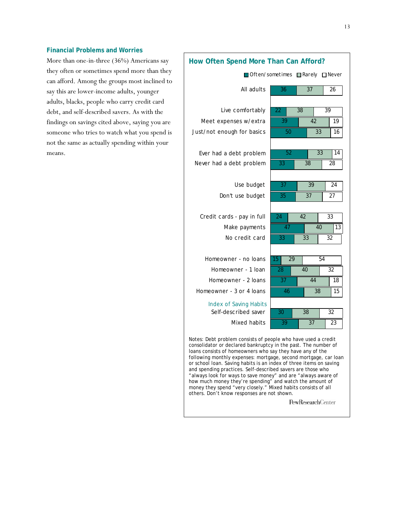#### **Financial Problems and Worries**

More than one-in-three (36%) Americans say they often or sometimes spend more than they can afford. Among the groups most inclined to say this are lower-income adults, younger adults, blacks, people who carry credit card debt, and self-described savers. As with the findings on savings cited above, saying you are someone who tries to watch what you spend is not the same as actually spending within your means.

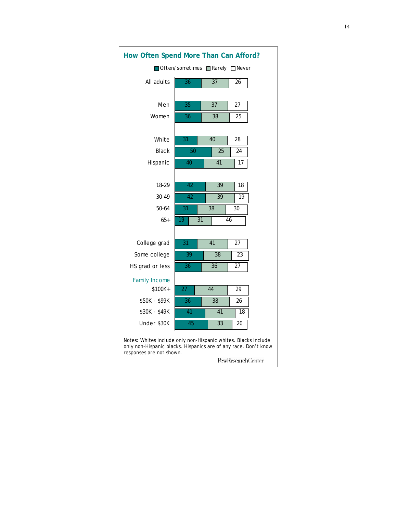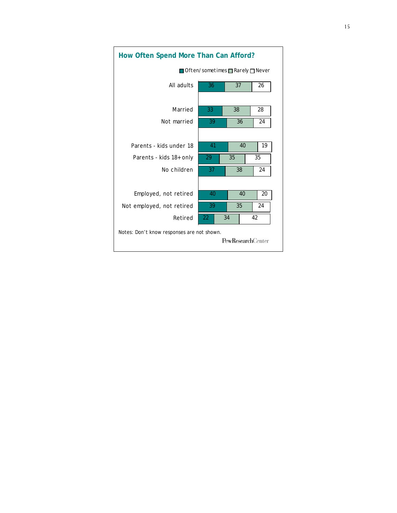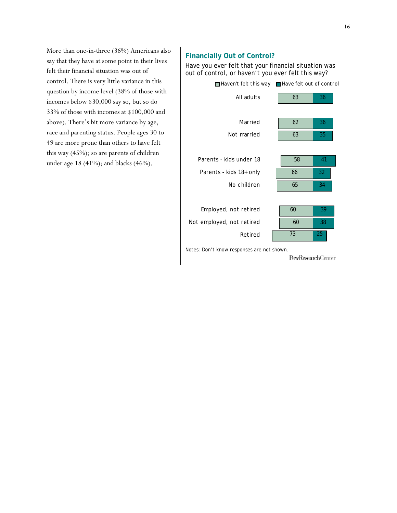More than one-in-three (36%) Americans also say that they have at some point in their lives felt their financial situation was out of control. There is very little variance in this question by income level (38% of those with incomes below \$30,000 say so, but so do 33% of those with incomes at \$100,000 and above). There's bit more variance by age, race and parenting status. People ages 30 to 49 are more prone than others to have felt this way (45%); so are parents of children under age 18 (41%); and blacks (46%).

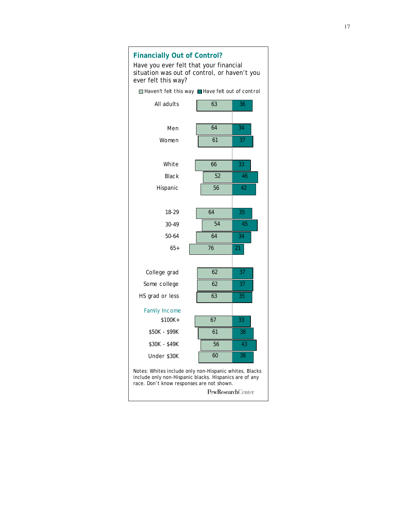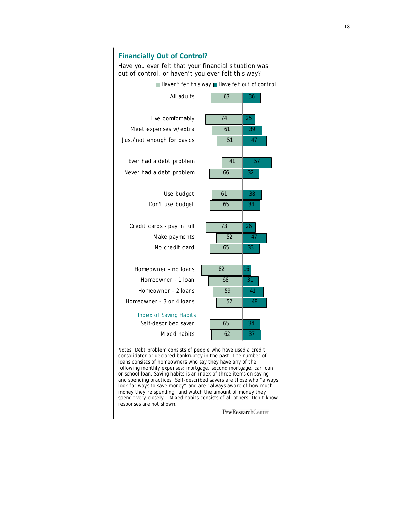

and spending practices. Self-described savers are those who "always look for ways to save money" and are "always aware of how much money they're spending" and watch the amount of money they spend "very closely." Mixed habits consists of all others. Don't know responses are not shown.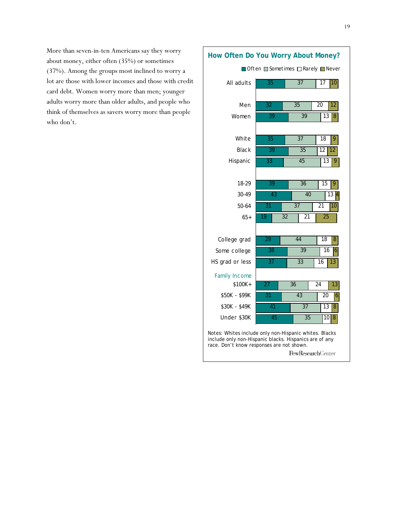More than seven-in-ten Americans say they worry about money, either often (35%) or sometimes (37%). Among the groups most inclined to worry a lot are those with lower incomes and those with credit card debt. Women worry more than men; younger adults worry more than older adults, and people who think of themselves as savers worry more than people who don't.

# **How Often Do You Worry About Money?**

|                                                                                                                                                               | <b>Often Sometimes □ Rarely ■ Never</b> |                             |                                   |
|---------------------------------------------------------------------------------------------------------------------------------------------------------------|-----------------------------------------|-----------------------------|-----------------------------------|
| All adults                                                                                                                                                    | $\overline{35}$                         | $\overline{37}$             | $\overline{17}$<br>10             |
|                                                                                                                                                               |                                         |                             |                                   |
| Men                                                                                                                                                           | 32                                      | 35                          | 20<br>12                          |
| Women                                                                                                                                                         | 39                                      | 39                          | 13<br>8                           |
|                                                                                                                                                               |                                         |                             |                                   |
| White                                                                                                                                                         | 35                                      | 37                          | 18<br>9                           |
| <b>Black</b>                                                                                                                                                  | 39                                      | 35                          | 12<br>12                          |
| Hispanic                                                                                                                                                      | 33                                      | 45                          | 9<br>13                           |
|                                                                                                                                                               |                                         |                             |                                   |
| 18-29                                                                                                                                                         | $\overline{39}$                         | $\overline{36}$             | $\overline{15}$<br>$\overline{9}$ |
| 30-49                                                                                                                                                         | 43                                      | $\overline{40}$             | 13                                |
| 50-64                                                                                                                                                         | $\overline{31}$                         | $\overline{37}$             | 21<br>10                          |
| $65+$                                                                                                                                                         | 19                                      | $\overline{32}$<br>21       | $\overline{25}$                   |
|                                                                                                                                                               |                                         |                             |                                   |
| College grad                                                                                                                                                  | 29                                      | 44                          | 18<br>8                           |
| Some college                                                                                                                                                  | 38                                      | 39                          | 16<br>$\overline{6}$              |
| HS grad or less                                                                                                                                               | 37                                      | 33                          | 16<br>13                          |
| <b>Family Income</b>                                                                                                                                          |                                         |                             |                                   |
| $$100K +$                                                                                                                                                     | 27                                      | 36                          | $\overline{24}$<br>13             |
| \$50K - \$99K                                                                                                                                                 | $\overline{31}$                         | $\overline{43}$             | 20<br>6                           |
| \$30K - \$49K                                                                                                                                                 | 41                                      | $\overline{37}$             | 13<br>8                           |
| Under \$30K                                                                                                                                                   | 45                                      | $\overline{35}$             | 10<br>8                           |
| Notes: Whites include only non-Hispanic whites. Blacks<br>include only non-Hispanic blacks. Hispanics are of any<br>race. Don't know responses are not shown. |                                         | $Dov$ , $Do$ contains $Dov$ |                                   |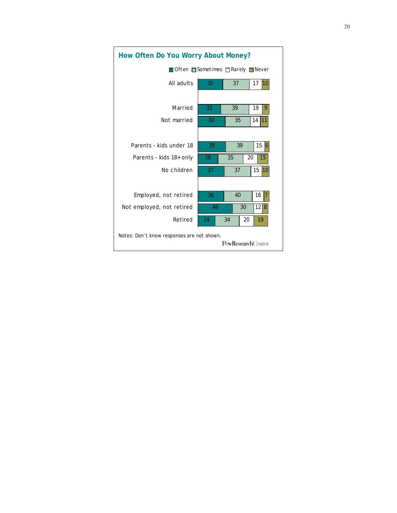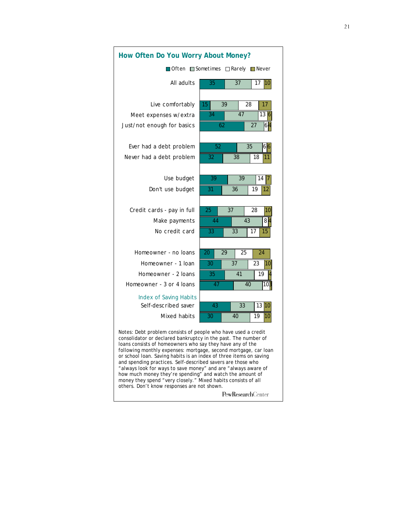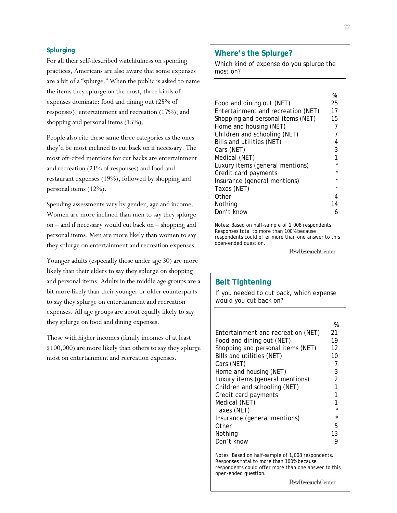#### **Splurging**

For all their self-described watchfulness on spending practices, Americans are also aware that some expenses are a bit of a "splurge." When the public is asked to name the items they splurge on the most, three kinds of expenses dominate: food and dining out (25% of responses); entertainment and recreation (17%); and shopping and personal items (15%).

People also cite these same three categories as the ones they'd be most inclined to cut back on if necessary. The most oft-cited mentions for cut backs are entertainment and recreation (21% of responses) and food and restaurant expenses (19%), followed by shopping and personal items (12%).

Spending assessments vary by gender, age and income. Women are more inclined than men to say they splurge on – and if necessary would cut back on – shopping and personal items. Men are more likely than women to say they splurge on entertainment and recreation expenses.

Younger adults (especially those under age 30) are more likely than their elders to say they splurge on shopping and personal items. Adults in the middle age groups are a bit more likely than their younger or older counterparts to say they splurge on entertainment and recreation expenses. All age groups are about equally likely to say they splurge on food and dining expenses.

Those with higher incomes (family incomes of at least \$100,000) are more likely than others to say they splurge most on entertainment and recreation expenses.

### **Where's the Splurge?**

Which kind of expense do you splurge the most on?

Notes: Based on half-sample of 1,008 respondents. Responses total to more than 100% because respondents could offer more than one answer to this open-ended question.

PewResearchCenter

### **Belt Tightening**

If you needed to cut back, which expense would you cut back on?

|                                    | %              |
|------------------------------------|----------------|
| Entertainment and recreation (NET) | 21             |
| Food and dining out (NET)          | 19             |
| Shopping and personal items (NET)  | 12             |
| Bills and utilities (NET)          | 10             |
| Cars (NET)                         | 7              |
| Home and housing (NET)             | 3              |
| Luxury items (general mentions)    | $\mathfrak{p}$ |
| Children and schooling (NET)       | 1              |
| Credit card payments               | 1              |
| Medical (NET)                      | 1              |
| Taxes (NET)                        | $\star$        |
| Insurance (general mentions)       | $\star$        |
| Other                              | 5              |
| Nothing                            | 13             |
| Don't know                         | g              |

Notes: Based on half-sample of 1,008 respondents. Responses total to more than 100% because respondents could offer more than one answer to this open-ended question.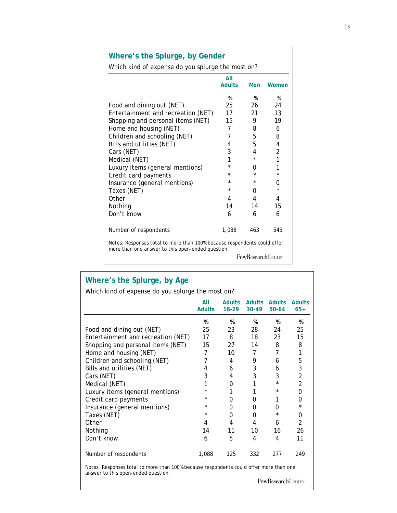# **Where's the Splurge, by Gender**

Which kind of expense do you splurge the most on?

|                                                                                                                               | AII<br><b>Adults</b> | Men                       | Women          |
|-------------------------------------------------------------------------------------------------------------------------------|----------------------|---------------------------|----------------|
|                                                                                                                               |                      |                           |                |
|                                                                                                                               | %                    | %                         | %              |
| Food and dining out (NET)                                                                                                     | 25                   | 26                        | 24             |
| Entertainment and recreation (NET)                                                                                            | 17                   | 21                        | 13             |
| Shopping and personal items (NET)                                                                                             | 15                   | 9                         | 19             |
| Home and housing (NET)                                                                                                        | 7                    | 8                         | 6              |
| Children and schooling (NET)                                                                                                  | 7                    | 5                         | 8              |
| Bills and utilities (NET)                                                                                                     | 4                    | 5                         | 4              |
| Cars (NET)                                                                                                                    | 3                    | 4                         | $\overline{2}$ |
| Medical (NET)                                                                                                                 | 1                    | *                         | 1              |
| Luxury items (general mentions)                                                                                               | $\star$              | O                         | 1              |
| Credit card payments                                                                                                          | $\star$              | $\star$                   | $\star$        |
| Insurance (general mentions)                                                                                                  | *                    | $\star$                   | 0              |
| Taxes (NET)                                                                                                                   | $\star$              | 0                         | $\star$        |
| Other                                                                                                                         | 4                    | 4                         | 4              |
| Nothing                                                                                                                       | 14                   | 14                        | 15             |
| Don't know                                                                                                                    | 6                    | 6                         | 6              |
| Number of respondents                                                                                                         | 1,088                | 463                       | 545            |
| Notes: Responses total to more than 100% because respondents could offer<br>more than one answer to this open-ended question. |                      |                           |                |
|                                                                                                                               |                      | <b>PewResearch</b> Center |                |

# **Where's the Splurge, by Age**

| Which kind of expense do you splurge the most on? |                      |                          |                        |                            |                        |
|---------------------------------------------------|----------------------|--------------------------|------------------------|----------------------------|------------------------|
|                                                   | All<br><b>Adults</b> | <b>Adults</b><br>$18-29$ | <b>Adults</b><br>30-49 | <b>Adults</b><br>$50 - 64$ | <b>Adults</b><br>$65+$ |
|                                                   | %                    | %                        | %                      | %                          | %                      |
| Food and dining out (NET)                         | 25                   | 23                       | 28                     | 24                         | 25                     |
| Entertainment and recreation (NET)                | 17                   | 8                        | 18                     | 23                         | 15                     |
| Shopping and personal items (NET)                 | 15                   | 27                       | 14                     | 8                          | 8                      |
| Home and housing (NET)                            | 7                    | 10                       | 7                      | 7                          | 1                      |
| Children and schooling (NET)                      | 7                    | 4                        | 9                      | 6                          | 5                      |
| Bills and utilities (NET)                         | 4                    | 6                        | 3                      | 6                          | 3                      |
| Cars (NET)                                        | 3                    | 4                        | 3                      | 3                          | $\overline{2}$         |
| Medical (NET)                                     | 1                    | 0                        |                        | $\star$                    | 2                      |
| Luxury items (general mentions)                   | *                    |                          |                        | $\star$                    | 0                      |
| Credit card payments                              | $\star$              | 0                        | 0                      |                            | 0                      |
| Insurance (general mentions)                      | $\star$              | 0                        | 0                      | O                          | *                      |
| Taxes (NET)                                       | $\star$              | 0                        | 0                      |                            | 0                      |
| Other                                             | 4                    | 4                        | 4                      | 6                          | $\mathfrak{D}$         |
| Nothing                                           | 14                   | 11                       | 10                     | 16                         | 26                     |
| Don't know                                        | 6                    | 5                        | 4                      | 4                          | 11                     |
| Number of respondents                             | 1,088                | 125                      | 332                    | 277                        | 249                    |

Notes: Responses total to more than 100% because respondents could offer more than one answer to this open-ended question.

 $\ensuremath{\mathsf{PewRes}}\xspace$  archCenter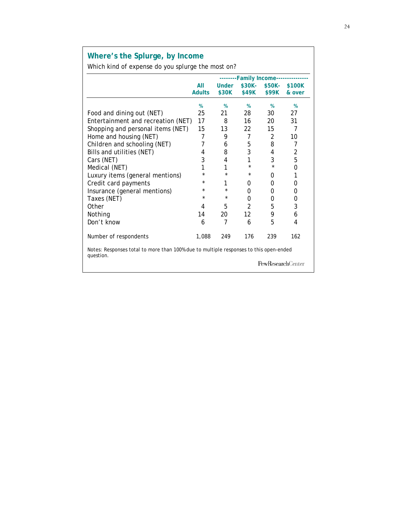# **Where's the Splurge, by Income**

Which kind of expense do you splurge the most on?

|                                                                                                    |               | --------Family Income---------- |                |                   |        |
|----------------------------------------------------------------------------------------------------|---------------|---------------------------------|----------------|-------------------|--------|
|                                                                                                    | All           | <b>Under</b>                    | \$30K-         | \$50K-            | \$100K |
|                                                                                                    | <b>Adults</b> | \$30K                           | \$49K          | \$99K             | & over |
|                                                                                                    | %             | %                               | %              | %                 | %      |
| Food and dining out (NET)                                                                          | 25            | 21                              | 28             | 30                | 27     |
| Entertainment and recreation (NET)                                                                 | 17            | 8                               | 16             | 20                | 31     |
| Shopping and personal items (NET)                                                                  | 15            | 13                              | 22             | 15                | 7      |
| Home and housing (NET)                                                                             | 7             | 9                               | $\overline{7}$ | 2                 | 10     |
| Children and schooling (NET)                                                                       | 7             | 6                               | 5              | 8                 | 7      |
| Bills and utilities (NET)                                                                          | 4             | 8                               | 3              | 4                 | 2      |
| Cars (NET)                                                                                         | 3             | 4                               | 1              | 3                 | 5      |
| Medical (NET)                                                                                      | 1             | 1                               | $^\star$       | $\star$           | 0      |
| Luxury items (general mentions)                                                                    | $\star$       | $\star$                         | $^\star$       | 0                 | 1      |
| Credit card payments                                                                               | *             | 1                               | 0              | 0                 | 0      |
| Insurance (general mentions)                                                                       | *             | $\star$                         | 0              | 0                 | 0      |
| Taxes (NET)                                                                                        | $\star$       | $\star$                         | 0              | 0                 | 0      |
| Other                                                                                              | 4             | 5                               | $\overline{2}$ | 5                 | 3      |
| Nothing                                                                                            | 14            | 20                              | 12             | 9                 | 6      |
| Don't know                                                                                         | 6             | 7                               | 6              | 5                 | 4      |
| Number of respondents                                                                              | 1,088         | 249                             | 176            | 239               | 162    |
| Notes: Responses total to more than 100% due to multiple responses to this open-ended<br>question. |               |                                 |                |                   |        |
|                                                                                                    |               |                                 |                | PewResearchCenter |        |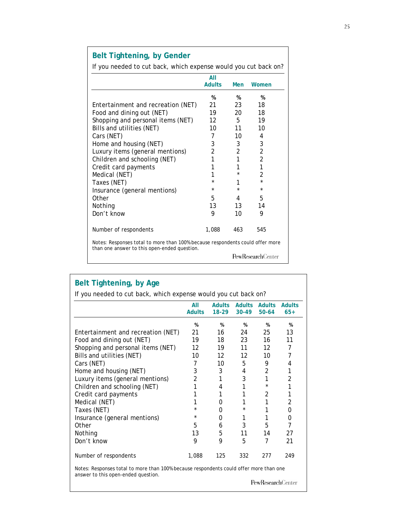# **Belt Tightening, by Gender**

If you needed to cut back, which expense would you cut back on?

|                                                                                                                               | All               |          |                           |
|-------------------------------------------------------------------------------------------------------------------------------|-------------------|----------|---------------------------|
|                                                                                                                               | <b>Adults</b>     | Men      | Women                     |
|                                                                                                                               | %                 | %        | %                         |
| Entertainment and recreation (NET)                                                                                            | 21                | 23       | 18                        |
| Food and dining out (NET)                                                                                                     | 19                | 20       | 18                        |
| Shopping and personal items (NET)                                                                                             | $12 \overline{ }$ | 5        | 19                        |
| Bills and utilities (NET)                                                                                                     | 10                | 11       | 10                        |
| Cars (NET)                                                                                                                    | 7                 | 10       | 4                         |
| Home and housing (NET)                                                                                                        | 3                 | 3        | 3                         |
| Luxury items (general mentions)                                                                                               | $\overline{2}$    | 2        | 2                         |
| Children and schooling (NET)                                                                                                  | 1                 | 1        | $\overline{2}$            |
| Credit card payments                                                                                                          | 1                 | 1        | 1                         |
| Medical (NET)                                                                                                                 | 1                 | $^\star$ | $\mathfrak{p}$            |
| Taxes (NET)                                                                                                                   | $\star$           | 1        | $\star$                   |
| Insurance (general mentions)                                                                                                  | *                 | $\star$  | $\star$                   |
| Other                                                                                                                         | 5                 | 4        | 5                         |
| Nothing                                                                                                                       | 13                | 13       | 14                        |
| Don't know                                                                                                                    | 9                 | 10       | 9                         |
|                                                                                                                               |                   |          |                           |
| Number of respondents                                                                                                         | 1,088             | 463      | 545                       |
| Notes: Responses total to more than 100% because respondents could offer more<br>than one answer to this open-ended question. |                   |          |                           |
|                                                                                                                               |                   |          | <b>PewResearch</b> Center |

|                                    | All            |         | Adults Adults Adults |                | <b>Adults</b>  |
|------------------------------------|----------------|---------|----------------------|----------------|----------------|
|                                    | <b>Adults</b>  | $18-29$ | $30 - 49$            | $50 - 64$      | $65+$          |
|                                    | %              | %       | %                    | %              | %              |
| Entertainment and recreation (NET) | 21             | 16 —    | 24                   | 25             | 13             |
| Food and dining out (NET)          | 19             | 18 —    | 23                   | 16             | 11             |
| Shopping and personal items (NET)  | 12             | 19      | 11                   | 12             | 7              |
| Bills and utilities (NET)          | 10             | 12      | 12                   | 10             | 7              |
| Cars (NET)                         | 7              | 10      | 5                    | 9              | 4              |
| Home and housing (NET)             | 3              | 3       | 4                    | $\overline{2}$ | 1              |
| Luxury items (general mentions)    | $\overline{2}$ | 1       | 3                    | 1              | 2              |
| Children and schooling (NET)       | 1              | 4       | 1                    | $\star$        | 1              |
| Credit card payments               | 1              | 1       | 1                    | $\mathfrak{D}$ | 1              |
| Medical (NET)                      | 1              | 0       | $\mathbf{1}$         | 1              | 2              |
| Taxes (NET)                        | $\star$        | 0       | $\star$              | 1              | 0              |
| Insurance (general mentions)       | $\star$        | 0       | 1                    | 1              | 0              |
| Other                              | 5              | 6       | 3                    | 5              | $\overline{7}$ |
| Nothing                            | 13             | 5       | 11                   | 14             | 27             |
| Don't know                         | 9              | 9       | 5                    | 7              | 21             |
| Number of respondents              | 1,088          | 125     | 332                  | 277            | 249            |

Notes: Responses total to more than 100% because respondents could offer more than one answer to this open-ended question.

 $\ensuremath{\mathsf{PewRes}}\xspace$  archCenter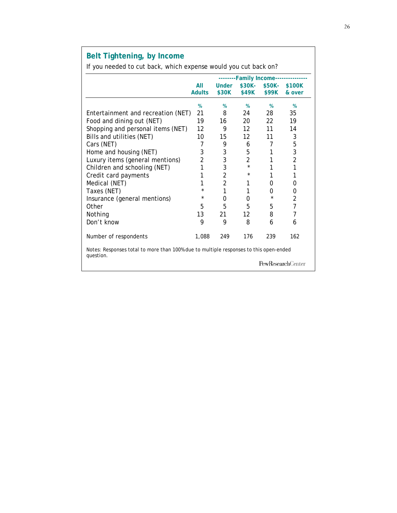# **Belt Tightening, by Income**

If you needed to cut back, which expense would you cut back on?

|                                                                                                    |                      |                       |                 | --------Family Income---- |                          |
|----------------------------------------------------------------------------------------------------|----------------------|-----------------------|-----------------|---------------------------|--------------------------|
|                                                                                                    | All<br><b>Adults</b> | <b>Under</b><br>\$30K | \$30K-<br>\$49K | $$50K-$<br>\$99K          | \$100K<br>& over         |
|                                                                                                    |                      |                       |                 |                           |                          |
|                                                                                                    | $\%$                 | %                     | $\frac{9}{6}$   | $\%$                      | %                        |
| Entertainment and recreation (NET)                                                                 | 21                   | 8                     | 24              | 28                        | 35                       |
| Food and dining out (NET)                                                                          | 19                   | 16                    | 20              | 22                        | 19                       |
| Shopping and personal items (NET)                                                                  | 12                   | 9                     | 12              | 11                        | 14                       |
| Bills and utilities (NET)                                                                          | 10                   | 15                    | 12              | 11                        | 3                        |
| Cars (NET)                                                                                         | 7                    | 9                     | 6               | 7                         | 5                        |
| Home and housing (NET)                                                                             | 3                    | 3                     | 5               | 1                         | 3                        |
| Luxury items (general mentions)                                                                    | 2                    | 3                     | 2               | 1                         | 2                        |
| Children and schooling (NET)                                                                       | 1                    | 3                     | $\star$         | 1                         | 1                        |
| Credit card payments                                                                               | 1                    | 2                     | $^\star$        | 1                         | 1                        |
| Medical (NET)                                                                                      | 1                    | 2                     | 1               | 0                         | 0                        |
| Taxes (NET)                                                                                        | *                    |                       | 1               | 0                         | 0                        |
| Insurance (general mentions)                                                                       | *                    | 0                     | 0               | $^\star$                  | 2                        |
| Other                                                                                              | 5                    | 5                     | 5               | 5                         | $\overline{7}$           |
| Nothing                                                                                            | 13                   | 21                    | 12              | 8                         | 7                        |
| Don't know                                                                                         | 9                    | 9                     | 8               | 6                         | 6                        |
| Number of respondents                                                                              | 1,088                | 249                   | 176             | 239                       | 162                      |
| Notes: Responses total to more than 100% due to multiple responses to this open-ended<br>question. |                      |                       |                 |                           |                          |
|                                                                                                    |                      |                       |                 |                           | <b>PewResearchCenter</b> |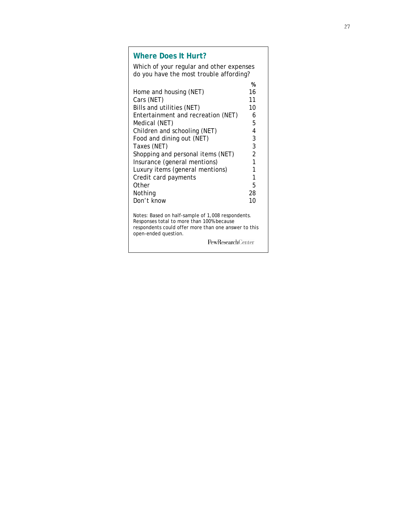### **Where Does It Hurt?**

Which of your regular and other expenses do you have the most trouble affording?  **%**  Home and housing (NET) 16 Cars (NET) 11<br>
Bills and utilities (NET) 10 Bills and utilities (NET) Entertainment and recreation (NET) 6 Medical (NET) 5 Children and schooling (NET) 4 Food and dining out (NET) 3 Taxes (NET) 3 Shopping and personal items (NET) 2 Insurance (general mentions) 1 Luxury items (general mentions) 1 Credit card payments 1 Other 5 Nothing 28 Don't know 10

Notes: Based on half-sample of 1,008 respondents. Responses total to more than 100% because respondents could offer more than one answer to this open-ended question.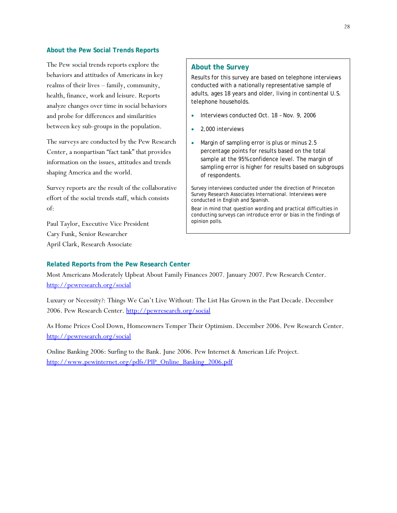#### **About the Pew Social Trends Reports**

The Pew social trends reports explore the behaviors and attitudes of Americans in key realms of their lives – family, community, health, finance, work and leisure. Reports analyze changes over time in social behaviors and probe for differences and similarities between key sub-groups in the population.

The surveys are conducted by the Pew Research Center, a nonpartisan "fact tank" that provides information on the issues, attitudes and trends shaping America and the world.

Survey reports are the result of the collaborative effort of the social trends staff, which consists of:

Paul Taylor, Executive Vice President Cary Funk, Senior Researcher April Clark, Research Associate

#### **About the Survey**

Results for this survey are based on telephone interviews conducted with a nationally representative sample of adults, ages 18 years and older, living in continental U.S. telephone households.

- Interviews conducted Oct. 18 Nov. 9, 2006
- 2,000 interviews
- Margin of sampling error is plus or minus 2.5 percentage points for results based on the total sample at the 95% confidence level. The margin of sampling error is higher for results based on subgroups of respondents.

Survey interviews conducted under the direction of Princeton Survey Research Associates International. Interviews were conducted in English and Spanish.

Bear in mind that question wording and practical difficulties in conducting surveys can introduce error or bias in the findings of opinion polls.

#### **Related Reports from the Pew Research Center**

Most Americans Moderately Upbeat About Family Finances 2007. January 2007. Pew Research Center. http://pewresearch.org/social

Luxury or Necessity?: Things We Can't Live Without: The List Has Grown in the Past Decade. December 2006. Pew Research Center. http://pewresearch.org/social

As Home Prices Cool Down, Homeowners Temper Their Optimism. December 2006. Pew Research Center. http://pewresearch.org/social

Online Banking 2006: Surfing to the Bank. June 2006. Pew Internet & American Life Project. http://www.pewinternet.org/pdfs/PIP\_Online\_Banking\_2006.pdf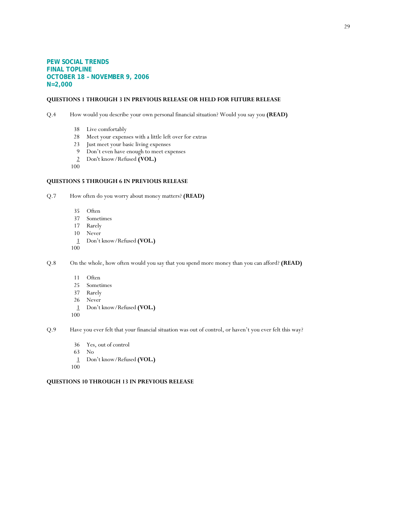#### **PEW SOCIAL TRENDS FINAL TOPLINE OCTOBER 18 – NOVEMBER 9, 2006 N=2,000**

#### **QUESTIONS 1 THROUGH 3 IN PREVIOUS RELEASE OR HELD FOR FUTURE RELEASE**

Q.4 How would you describe your own personal financial situation? Would you say you **(READ)**

- 38 Live comfortably
- 28 Meet your expenses with a little left over for extras
- 23 Just meet your basic living expenses
- 9 Don't even have enough to meet expenses
- 2 Don't know/Refused **(VOL.)**
- 100

#### **QUESTIONS 5 THROUGH 6 IN PREVIOUS RELEASE**

Q.7 How often do you worry about money matters? **(READ)**

- 35 Often
- 37 Sometimes
- 17 Rarely
- 10 Never
- 1 Don't know/Refused **(VOL.)**
- 100
- Q.8 On the whole, how often would you say that you spend more money than you can afford? **(READ)**
	- 11 Often
	- 25 Sometimes
	- 37 Rarely
	- 26 Never
	- 1 Don't know/Refused **(VOL.)**
	- 100

Q.9 Have you ever felt that your financial situation was out of control, or haven't you ever felt this way?

- 36 Yes, out of control
- 63 No
- 1 Don't know/Refused **(VOL.)**
- 100

#### **QUESTIONS 10 THROUGH 13 IN PREVIOUS RELEASE**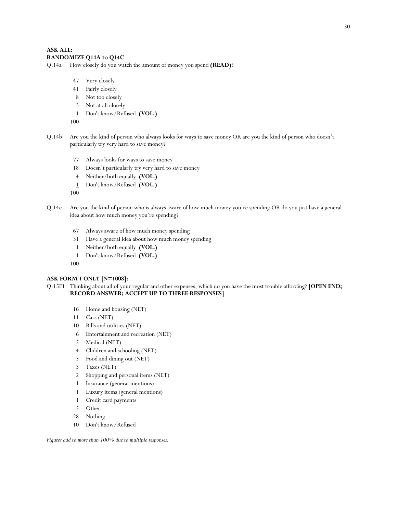#### **ASK ALL: RANDOMIZE Q14A to Q14C**

Q.14a How closely do you watch the amount of money you spend **(READ)**?

- 47 Very closely
- 41 Fairly closely
- 8 Not too closely
- 3 Not at all closely
- 1 Don't know/Refused **(VOL.)**

100

- Q.14b Are you the kind of person who always looks for ways to save money OR are you the kind of person who doesn't particularly try very hard to save money?
	- 77 Always looks for ways to save money
	- 18 Doesn't particularly try very hard to save money
	- 4 Neither/both equally **(VOL.)**
	- 1 Don't know/Refused **(VOL.)**
	- 100
- Q.14c Are you the kind of person who is always aware of how much money you're spending OR do you just have a general idea about how much money you're spending?
	- 67 Always aware of how much money spending
	- 31 Have a general idea about how much money spending
	- 1 Neither/both equally **(VOL.)**
	- 1 Don't know/Refused **(VOL.)**
	- 100

#### **ASK FORM 1 ONLY [N=1008]:**

#### Q.15F1 Thinking about all of your regular and other expenses, which do you have the most trouble affording? **[OPEN END; RECORD ANSWER; ACCEPT UP TO THREE RESPONSES]**

- 16 Home and housing (NET)
- 11 Cars (NET)
- 10 Bills and utilities (NET)
- 6 Entertainment and recreation (NET)
- 5 Medical (NET)
- 4 Children and schooling (NET)
- 3 Food and dining out (NET)
- 3 Taxes (NET)
- 2 Shopping and personal items (NET)
- 1 Insurance (general mentions)
- 1 Luxury items (general mentions)
- 1 Credit card payments
- 5 Other
- 28 Nothing
- 10 Don't know/Refused

*Figures add to more than 100% due to multiple responses.*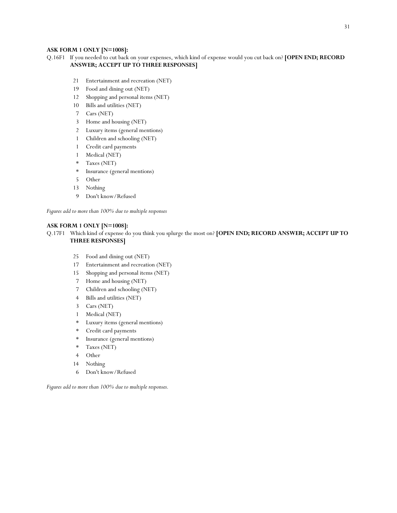#### **ASK FORM 1 ONLY [N=1008]:**

- Q.16F1 If you needed to cut back on your expenses, which kind of expense would you cut back on? **[OPEN END; RECORD ANSWER; ACCEPT UP TO THREE RESPONSES]**
	- 21 Entertainment and recreation (NET)
	- 19 Food and dining out (NET)
	- 12 Shopping and personal items (NET)
	- 10 Bills and utilities (NET)
	- 7 Cars (NET)
	- 3 Home and housing (NET)
	- 2 Luxury items (general mentions)
	- 1 Children and schooling (NET)
	- 1 Credit card payments
	- 1 Medical (NET)
	- \* Taxes (NET)
	- \* Insurance (general mentions)
	- 5 Other
	- 13 Nothing
	- 9 Don't know/Refused

*Figures add to more than 100% due to multiple responses*

#### **ASK FORM 1 ONLY [N=1008]:**

Q.17F1 Which kind of expense do you think you splurge the most on? **[OPEN END; RECORD ANSWER; ACCEPT UP TO THREE RESPONSES]**

- 25 Food and dining out (NET)
- 17 Entertainment and recreation (NET)
- 15 Shopping and personal items (NET)
- 7 Home and housing (NET)
- 7 Children and schooling (NET)
- 4 Bills and utilities (NET)
- 3 Cars (NET)
- 1 Medical (NET)
- \* Luxury items (general mentions)
- Credit card payments
- \* Insurance (general mentions)
- \* Taxes (NET)
- 4 Other
- 14 Nothing
- 6 Don't know/Refused

*Figures add to more than 100% due to multiple responses.*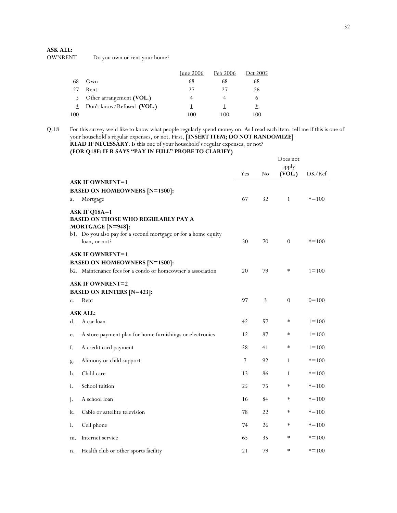# **ASK ALL:**

Do you own or rent your home?

|        |                           | June $2006$ | Feb 2006 | Oct 2005 |
|--------|---------------------------|-------------|----------|----------|
| 68     | Own                       | 68          | 68       | 68       |
| 27     | Rent                      | 27          | 27       | 26       |
| 5.     | Other arrangement (VOL.)  |             |          | 6        |
| $\ast$ | Don't know/Refused (VOL.) |             |          | $\ast$   |
| 100    |                           | 100         | 100      | 100      |

Q.18 For this survey we'd like to know what people regularly spend money on. As I read each item, tell me if this is one of your household's regular expenses, or not. First, **[INSERT ITEM; DO NOT RANDOMIZE] READ IF NECESSARY**: Is this one of your household's regular expenses, or not?

**(FOR Q18F: IF R SAYS "PAY IN FULL" PROBE TO CLARIFY)**

|             |                                                                                                                                                                    |     |    | Does not<br>apply |           |
|-------------|--------------------------------------------------------------------------------------------------------------------------------------------------------------------|-----|----|-------------------|-----------|
|             |                                                                                                                                                                    | Yes | No | (VOL.)            | DK/Ref    |
|             | <b>ASK IF OWNRENT=1</b><br><b>BASED ON HOMEOWNERS [N=1500]:</b>                                                                                                    |     |    |                   |           |
| a.          | Mortgage                                                                                                                                                           | 67  | 32 | $\mathbf{1}$      | $* = 100$ |
|             | ASK IF Q18A=1<br><b>BASED ON THOSE WHO REGULARLY PAY A</b><br>MORTGAGE [N=948]:<br>b1. Do you also pay for a second mortgage or for a home equity<br>loan, or not? | 30  | 70 | $\overline{0}$    | $* = 100$ |
|             | <b>ASK IF OWNRENT=1</b>                                                                                                                                            |     |    |                   |           |
|             | <b>BASED ON HOMEOWNERS [N=1500]:</b><br>b2. Maintenance fees for a condo or homeowner's association                                                                | 20  | 79 | $\ast$            | $1 = 100$ |
|             | <b>ASK IF OWNRENT=2</b>                                                                                                                                            |     |    |                   |           |
|             | <b>BASED ON RENTERS [N=423]:</b>                                                                                                                                   |     |    |                   |           |
| $C_{\star}$ | Rent                                                                                                                                                               | 97  | 3  | $\overline{0}$    | $0=100$   |
|             | <b>ASK ALL:</b>                                                                                                                                                    |     |    |                   |           |
| d.          | A car loan                                                                                                                                                         | 42  | 57 | $\ast$            | $1 = 100$ |
| e.          | A store payment plan for home furnishings or electronics                                                                                                           | 12  | 87 | ∗                 | $1 = 100$ |
| f.          | A credit card payment                                                                                                                                              | 58  | 41 | $\ast$            | $1 = 100$ |
| g.          | Alimony or child support                                                                                                                                           | 7   | 92 | $\mathbf{1}$      | $* = 100$ |
| h.          | Child care                                                                                                                                                         | 13  | 86 | $\mathbf{1}$      | $* = 100$ |
| i.          | School tuition                                                                                                                                                     | 25  | 75 | $\ast$            | $* = 100$ |
| j.          | A school loan                                                                                                                                                      | 16  | 84 | $\ast$            | $* = 100$ |
| k.          | Cable or satellite television                                                                                                                                      | 78  | 22 | $\ast$            | $* = 100$ |
| l.          | Cell phone                                                                                                                                                         | 74  | 26 | $\ast$            | $* = 100$ |
| m.          | Internet service                                                                                                                                                   | 65  | 35 | $\ast$            | $* = 100$ |
| n.          | Health club or other sports facility                                                                                                                               | 21  | 79 | $\ast$            | $* = 100$ |
|             |                                                                                                                                                                    |     |    |                   |           |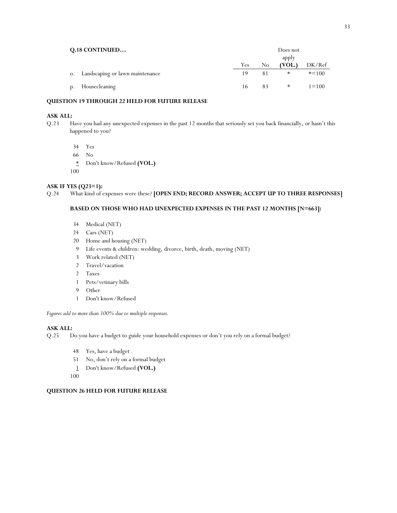| <b>Q.18 CONTINUED</b> |                                    | Does not |    |                 |           |  |
|-----------------------|------------------------------------|----------|----|-----------------|-----------|--|
|                       |                                    | Yes      | No | apply<br>(VOL.) | DK/Ref    |  |
|                       | o. Landscaping or lawn maintenance | 19       | 81 | ∗               | $* = 100$ |  |
| p.                    | Housecleaning                      | 16       | 83 | $\ast$          | $1 = 100$ |  |

#### **QUESTION 19 THROUGH 22 HELD FOR FUTURE RELEASE**

#### **ASK ALL:**

Q.23 Have you had any unexpected expenses in the past 12 months that seriously set you back financially, or hasn't this happened to you?

34 Yes

66 No

\* Don't know/Refused **(VOL.)**

100

# **ASK IF YES (Q23=1):**<br>Q.24 What kind of 6

What kind of expenses were these? **[OPEN END; RECORD ANSWER; ACCEPT UP TO THREE RESPONSES]** 

#### **BASED ON THOSE WHO HAD UNEXPECTED EXPENSES IN THE PAST 12 MONTHS [N=663]:**

- 34 Medical (NET)
- 24 Cars (NET)
- 20 Home and housing (NET)
- 9 Life events & children: wedding, divorce, birth, death, moving (NET)
- 3 Work related (NET)
- 2 Travel/vacation
- 2 Taxes
- 1 Pets/vetinary bills
- 9 Other
- 1 Don't know/Refused

*Figures add to more than 100% due to multiple responses.* 

#### **ASK ALL:**

Q.25 Do you have a budget to guide your household expenses or don't you rely on a formal budget?

- 48 Yes, have a budget
- 51 No, don't rely on a formal budget
- 1 Don't know/Refused **(VOL.)**
- 100

#### **QUESTION 26 HELD FOR FUTURE RELEASE**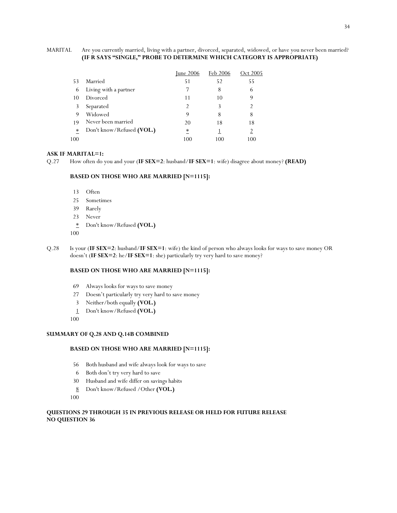#### MARITAL Are you currently married, living with a partner, divorced, separated, widowed, or have you never been married? **(IF R SAYS "SINGLE," PROBE TO DETERMINE WHICH CATEGORY IS APPROPRIATE)**

|     |                           | June $2006$ | Feb 2006 | Oct 2005 |
|-----|---------------------------|-------------|----------|----------|
| 53  | Married                   | 51          | 52       | 55       |
| 6   | Living with a partner     |             | 8        | 6        |
| 10  | Divorced                  | 11          | 10       | 9        |
| 3   | Separated                 |             | 3        |          |
| 9   | Widowed                   | 9           | 8        | 8        |
| 19  | Never been married        | 20          | 18       | 18       |
| ∗   | Don't know/Refused (VOL.) | ∗           |          |          |
| 100 |                           | 100         | 100      | 100      |

#### **ASK IF MARITAL=1:**

Q.27 How often do you and your (**IF SEX=2**: husband/**IF SEX=1**: wife) disagree about money? **(READ)**

#### **BASED ON THOSE WHO ARE MARRIED [N=1115]:**

- 13 Often
- 25 Sometimes
- 39 Rarely
- 23 Never
- \* Don't know/Refused **(VOL.)**
- 100
- Q.28 Is your (**IF SEX=2**: husband/**IF SEX=1**: wife) the kind of person who always looks for ways to save money OR doesn't (**IF SEX=2**: he/**IF SEX=1**: she) particularly try very hard to save money?

#### **BASED ON THOSE WHO ARE MARRIED [N=1115]:**

- 69 Always looks for ways to save money
- 27 Doesn't particularly try very hard to save money
- 3 Neither/both equally **(VOL.)**
- 1 Don't know/Refused **(VOL.)**
- 100

#### **SUMMARY OF Q.28 AND Q.14B COMBINED**

#### **BASED ON THOSE WHO ARE MARRIED [N=1115]:**

- 56 Both husband and wife always look for ways to save
- 6 Both don't try very hard to save
- 30 Husband and wife differ on savings habits
- 8 Don't know/Refused /Other **(VOL.)**
- 100

#### **QUESTIONS 29 THROUGH 35 IN PREVIOUS RELEASE OR HELD FOR FUTURE RELEASE NO QUESTION 36**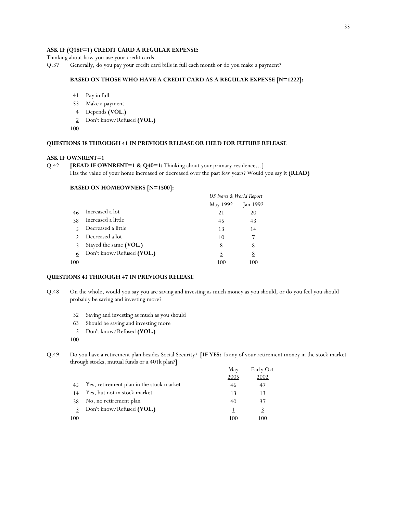#### **ASK IF (Q18F=1) CREDIT CARD A REGULAR EXPENSE:**

Thinking about how you use your credit cards

Q.37 Generally, do you pay your credit card bills in full each month or do you make a payment?

#### **BASED ON THOSE WHO HAVE A CREDIT CARD AS A REGULAR EXPENSE [N=1222]:**

- 41 Pay in full
- 53 Make a payment
- 4 Depends **(VOL.)**
- 2 Don't know/Refused **(VOL.)**
- 100

#### **QUESTIONS 38 THROUGH 41 IN PREVIOUS RELEASE OR HELD FOR FUTURE RELEASE**

#### **ASK IF OWNRENT=1**

Q.42 **[READ IF OWNRENT=1 & Q40=1:** Thinking about your primary residence...] Has the value of your home increased or decreased over the past few years? Would you say it **(READ)**

#### **BASED ON HOMEOWNERS [N=1500]:**

|     |                           | US News & World Report |                 |  |
|-----|---------------------------|------------------------|-----------------|--|
|     |                           | May 1992               | <u>Jan 1992</u> |  |
| 46  | Increased a lot           | 21                     | 20              |  |
| 38  | Increased a little        | 45                     | 43              |  |
| 5   | Decreased a little        | 13                     | 14              |  |
|     | Decreased a lot           | 10                     | 7               |  |
|     | Stayed the same (VOL.)    | 8                      | 8               |  |
| 6   | Don't know/Refused (VOL.) | 3                      | 8               |  |
| 100 |                           | 100                    | 100             |  |

#### **QUESTIONS 43 THROUGH 47 IN PREVIOUS RELEASE**

- Q.48 On the whole, would you say you are saving and investing as much money as you should, or do you feel you should probably be saving and investing more?
	- 32 Saving and investing as much as you should
	- 63 Should be saving and investing more
	- 5 Don't know/Refused **(VOL.)**
	- 100
- Q.49 Do you have a retirement plan besides Social Security? **[IF YES:** Is any of your retirement money in the stock market through stocks, mutual funds or a 401k plan?**]**

|     |                                          | May<br>2005 | Early Oct<br>2002 |
|-----|------------------------------------------|-------------|-------------------|
|     | Yes, retirement plan in the stock market | 46          | 47                |
| 14  | Yes, but not in stock market             | 13          | 13                |
| 38  | No, no retirement plan                   | 40          | 37                |
|     | Don't know/Refused (VOL.)                |             | 3                 |
| 100 |                                          | 100         | 100               |
|     |                                          |             |                   |